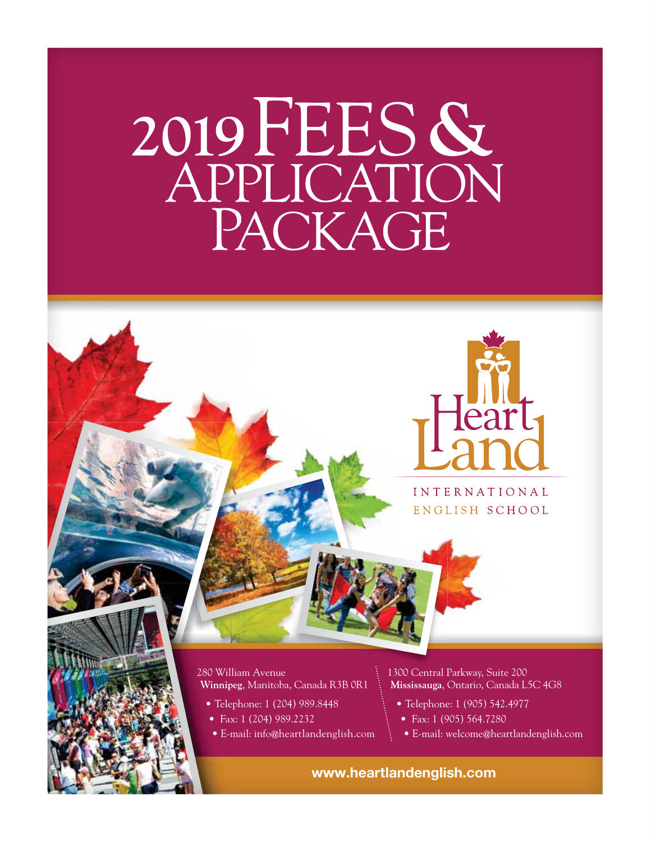# **<sup>2019</sup>**FEES **&** APPLICATION PACKAGE



**INTERNATIONAL** ENGLISH SCHOOL

### 280 William Avenue **Winnipeg**, Manitoba, Canada R3B 0R1

- Telephone: 1 (204) 989.8448
- Fax: 1 (204) 989.2232
- E-mail: info@heartlandenglish.com

1300 Central Parkway, Suite 200 **Mississauga**, Ontario, Canada L5C 4G8

- Telephone: 1 (905) 542.4977
- Fax: 1 (905) 564.7280
- E-mail: welcome@heartlandenglish.com

**www.heartlandenglish.com**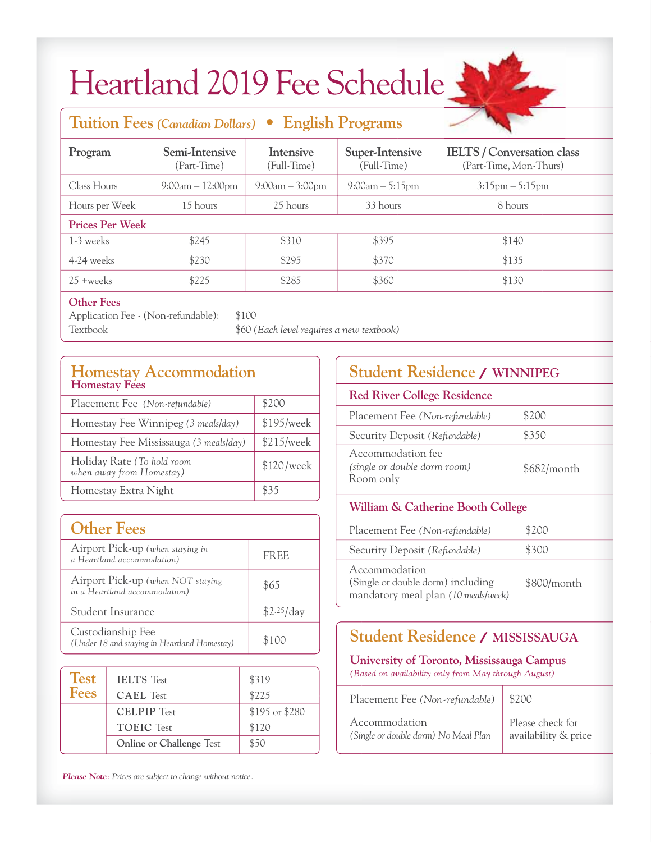## Heartland 2019 Fee Schedule

### **Tuition Fees** *(Canadian Dollars)* **• English Programs** Program Semi-Intensive Intensive Super-Intensive ELTS / Conversation class (Part-Time) (Full-Time) (Full-Time) (Part-Time, Mon-Thurs) Class Hours 9:00am – 12:00pm 9:00am – 3:00pm 9:00am – 5:15pm 3:15pm – 5:15pm Hours per Week 15 hours 25 hours 33 hours 8 hours Week **Prices Per Week** 1-3 weeks \$245 \$310 \$395 \$140 4-24 weeks \$230 \$295 \$370 \$135 25 +weeks \$225 \$285 \$360 \$130 **Super-Intensive** weeks \$310 \$395 \$295 \$370 +weeks \$285 \$360

### **Other Fees**

Application Fee - (Non-refundable): \$100 Textbook \$60 *(Each level requires a new textbook)* Textbook *(Each*

|                                                                    | <b>Homestay Accommodation</b><br><b>Homestay Fees</b> |                |
|--------------------------------------------------------------------|-------------------------------------------------------|----------------|
| Placement Fee (Non-refundable)                                     | \$200                                                 |                |
|                                                                    | Homestay Fee Winnipeg (3 meals/day)                   | \$195/week     |
|                                                                    | Homestay Fee Mississauga (3 meals/day)                | \$215/week     |
| Holiday Rate (To hold room<br>when away from Homestay)             | \$120/week                                            |                |
| Homestay Extra Night                                               | \$35                                                  |                |
|                                                                    |                                                       |                |
|                                                                    | <b>Other Fees</b>                                     |                |
| Airport Pick-up (when staying in<br>a Heartland accommodation)     | <b>FREE</b>                                           |                |
| Airport Pick-up (when NOT staying<br>in a Heartland accommodation) | \$65                                                  |                |
| Student Insurance                                                  | \$2.25/day                                            |                |
| Custodianship Fee<br>(Under 18 and staying in Heartland Homestay)  | \$100                                                 |                |
|                                                                    |                                                       |                |
| <b>Test</b>                                                        | <b>IELTS</b> Test                                     | \$319          |
| <b>Fees</b>                                                        | <b>CAEL</b> Test                                      | \$225          |
|                                                                    | <b>CELPIP Test</b>                                    | \$195 or \$280 |
|                                                                    | <b>TOEIC</b> Test                                     | \$120          |
|                                                                    | \$50                                                  |                |

| <b>Other Fees</b>                                                  |             |  |  |
|--------------------------------------------------------------------|-------------|--|--|
| Airport Pick-up (when staying in<br>a Heartland accommodation)     | <b>FREE</b> |  |  |
| Airport Pick-up (when NOT staying<br>in a Heartland accommodation) | \$65        |  |  |
| Student Insurance                                                  | \$2.25/day  |  |  |
| Custodianship Fee<br>(Under 18 and staying in Heartland Homestay)  |             |  |  |

| <b>Test</b><br><b>Fees</b> | <b>IELTS</b> Test                                                | \$319          |
|----------------------------|------------------------------------------------------------------|----------------|
|                            | <b>CAEL</b> Test                                                 | \$225          |
|                            | <b>CELPIP Test</b>                                               | \$195 or \$280 |
|                            | <b>TOEIC</b> Test                                                | \$120          |
|                            | <b>Online or Challenge Test</b>                                  | \$50           |
|                            | <b>Please Note:</b> Prices are subject to change without notice. |                |

| <b>Student Residence / WINNIPEG</b>                            |             |  |  |
|----------------------------------------------------------------|-------------|--|--|
| <b>Red River College Residence</b>                             |             |  |  |
| Placement Fee (Non-refundable)                                 | \$200       |  |  |
| Security Deposit (Refundable)                                  | \$350       |  |  |
| Accommodation fee<br>(single or double dorm room)<br>Room only | \$682/month |  |  |
| <b>William &amp; Catherine Booth College</b>                   |             |  |  |
| Placement Fee (Non-refundable)                                 |             |  |  |

### **William & Catherine Booth College**

| Placement Fee (Non-refundable)                                                            | \$200       |
|-------------------------------------------------------------------------------------------|-------------|
| Security Deposit (Refundable)                                                             | \$300       |
| Accommodation<br>(Single or double dorm) including<br>mandatory meal plan (10 meals/week) | \$800/month |

### **Student Residence / MISSISSAUGA Residence /**

### **University of Toronto, Mississauga Campus Campus**

*(Based on availability only from May through August)*

| Placement Fee (Non-refundable)   \$200                                                                            |  |
|-------------------------------------------------------------------------------------------------------------------|--|
| Accommodation<br>(Single or double dorm) No Meal Plan   Please check for<br>availability & price<br>Accommodation |  |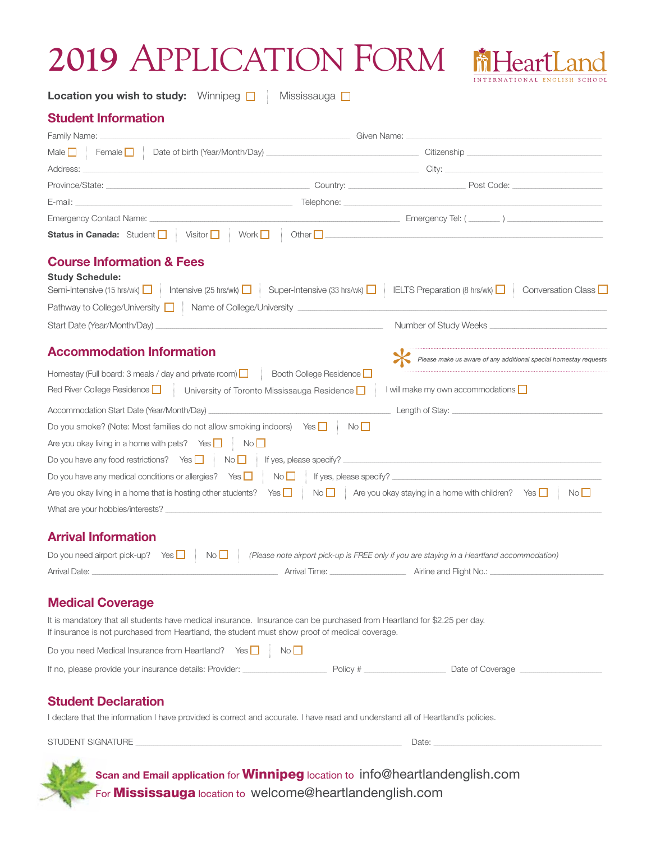### **2019** APPLICATION FORM



**Location you wish to study:** Winnipeg **O** Mississauga **O** 

#### **Student Information**

| Male $\Box$ Female $\Box$ Date of birth (Year/Month/Day)                                                                                                                                                                       |                           |
|--------------------------------------------------------------------------------------------------------------------------------------------------------------------------------------------------------------------------------|---------------------------|
| Address: experience and a series of the series of the series of the series of the series of the series of the                                                                                                                  |                           |
|                                                                                                                                                                                                                                | Post Code: New York Code: |
|                                                                                                                                                                                                                                |                           |
|                                                                                                                                                                                                                                |                           |
| Status in Canada: Student   Visitor   Work   Other   Mother   Nother   Norman   Other   Norman   Work   Visitor   Work   Visitor   Work   Visitor   Visitor   Visitor   Visitor   Visitor   Visitor   Visitor   Visitor   Visi |                           |

#### **Course Information & Fees Study Schedule:**

| Study Schedule:                                                                                                                      |                       |
|--------------------------------------------------------------------------------------------------------------------------------------|-----------------------|
| Semi-Intensive (15 hrs/wk)   Intensive (25 hrs/wk)   Super-Intensive (33 hrs/wk)   IELTS Preparation (8 hrs/wk)   Conversation Class |                       |
| Pathway to College/University ■ Name of College/University                                                                           |                       |
| Start Date (Year/Month/Day)                                                                                                          | Number of Study Weeks |

### **Accommodation Information**

| Accommodation Information                                                                                                              | Please make us aware of any additional special homestay requests |
|----------------------------------------------------------------------------------------------------------------------------------------|------------------------------------------------------------------|
| Booth College Residence<br>Homestay (Full board: 3 meals / day and private room) $\Box$                                                |                                                                  |
| Red River College Residence<br>University of Toronto Mississauga Residence                                                             | I will make my own accommodations $\Box$                         |
| Accommodation Start Date (Year/Month/Day)<br>the control of the control of the control of the control of the control of the control of | Length of Stay:                                                  |
| Do you smoke? (Note: Most families do not allow smoking indoors) Yes $\Box$<br>No                                                      |                                                                  |
| Are you okay living in a home with pets? Yes $\Box$<br>No                                                                              |                                                                  |
| Do you have any food restrictions? Yes $\Box$<br>$\mathsf{No}$ If yes, please specify?                                                 |                                                                  |
| Do you have any medical conditions or allergies? Yes $\Box$<br>$No$ $\Box$<br>If yes, please specify?                                  |                                                                  |
| Are you okay living in a home that is hosting other students? Yes $\Box$ No $\Box$ Are you okay staying in a home with children?       | Yes    <br>No II                                                 |
| What are your hobbies/interests?                                                                                                       |                                                                  |

### **Arrival Information**

|               |  | Do you need airport pick-up? Yes $\Box$ No $\Box$ (Please note airport pick-up is FREE only if you are staying in a Heartland accommodation) |                         |
|---------------|--|----------------------------------------------------------------------------------------------------------------------------------------------|-------------------------|
| Arrival Date: |  | Arrival Time:                                                                                                                                | Airline and Flight No.: |

### **Medical Coverage**

It is mandatory that all students have medical insurance. Insurance can be purchased from Heartland for \$2.25 per day. If insurance is not purchased from Heartland, the student must show proof of medical coverage.

Do you need Medical Insurance from Heartland? Yes  $\Box$  No  $\Box$ 

| If no, please provide your insurance details: Provider: | Policy # | Date of Coverage |
|---------------------------------------------------------|----------|------------------|
|---------------------------------------------------------|----------|------------------|

### **Student Declaration**

I declare that the information I have provided is correct and accurate. I have read and understand all of Heartland's policies.

STUDENT SIGNATURE DATE: DATE: DATE: DATE: DATE: DATE: DATE: DATE: DATE: DATE: DATE: DATE: DATE: DATE: DATE: DATE: DATE: DATE: DATE: DATE: DATE: DATE: DATE: DATE: DATE: DATE: DATE: DATE: DATE: DATE: DATE: DATE: DATE: DATE:

**Scan and Email application** for **Winnipeg** location to info@heartlandenglish.com For **Mississauga** location to welcome@heartlandenglish.com